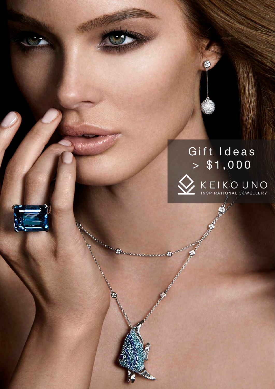

\$

**HARLEY** 

**Charles Charles** 

**Contract Contract Contract Contract Contract Contract Contract Contract Contract Contract Contract Contract Co** 

And and Chancer and Chancer and Chancer and Chancer and Chancer and Chancer and Chancer and Chancer and Chancer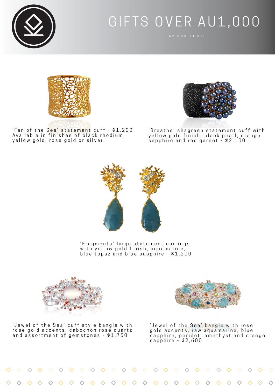

## GIFTS OVER AU1,000



'Fan of the Sea' statement cuff - \$1,200 Available in finishes of black rhodium, yellow gold, rose gold or silver.



'Breathe' shagreen statement cuff with yellow gold finish, black pearl, orange sapphire and red garnet - \$2,100



' F r a g m e n t s ' l a r g e s t a t e m e n t e a r r i n g s with yellow gold finish, aquamarine, blue topaz and blue sapphire - \$1,200



'Jewel of the Sea' cuff style bangle with rose gold accents, cabochon rose quartz and assortment of gemstones - \$1,750



'Jewel of the Sea' bangle with rose gold accents, raw aquamarine, blue sapphire, peridot, amethyst and orange sapphire - \$2,600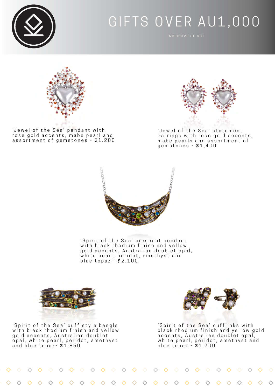

## GIFTS OVER AU1,000



'Jewel of the Sea' pendant with rose gold accents, mabe pearl and assortment of gemstones - \$1,200



'Jewel of the Sea' statement earrings with rose gold accents, mabe pearls and assortment of gemstones - \$1,400



'Spirit of the Sea' crescent pendant with black rhodium finish and yellow gold accents, Australian doublet opal, white pearl, peridot, amethyst and blue topaz - \$2,100



'Spirit of the Sea' cuff style bangle with black rhodium finish and yellow gold accents, Australian doublet opal, white pearl, peridot, amethyst and blue topaz- \$1,850



'Spirit of the Sea' cufflinks with black rhodium finish and yellow gold accents, Australian doublet opal, white pearl, peridot, amethyst and blue topaz - \$1,700